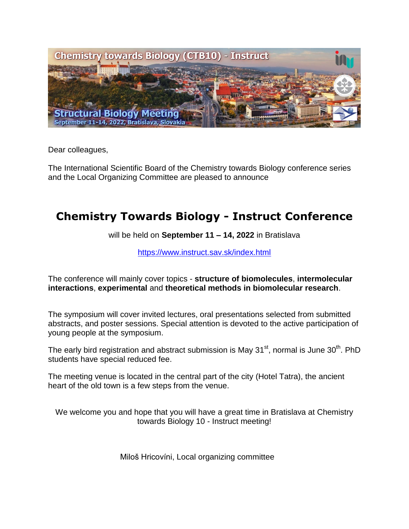

Dear colleagues,

The International Scientific Board of the Chemistry towards Biology conference series and the Local Organizing Committee are pleased to announce

# **Chemistry Towards Biology - Instruct Conference**

will be held on **September 11 – 14, 2022** in Bratislava

<https://www.instruct.sav.sk/index.html>

The conference will mainly cover topics - **structure of biomolecules**, **intermolecular interactions**, **experimental** and **theoretical methods in biomolecular research**.

The symposium will cover invited lectures, oral presentations selected from submitted abstracts, and poster sessions. Special attention is devoted to the active participation of young people at the symposium.

The early bird registration and abstract submission is May 31 $^{\text{st}}$ , normal is June 30<sup>th</sup>. PhD students have special reduced fee.

The meeting venue is located in the central part of the city (Hotel Tatra), the ancient heart of the old town is a few steps from the venue.

We welcome you and hope that you will have a great time in Bratislava at Chemistry towards Biology 10 - Instruct meeting!

Miloš Hricovíni, Local organizing committee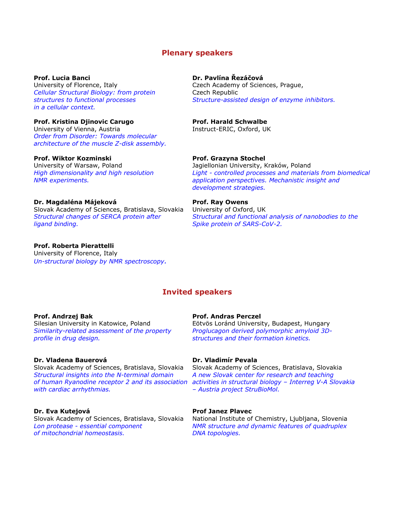# **Plenary speakers**

**Prof. Lucia Banci Dr. Pavlína Řezáčová** University of Florence, Italy Czech Academy of Sciences, Prague, *Cellular Structural Biology: from protein* Czech Republic *in a cellular context.*

**Prof. Kristina Djinovic Carugo Prof. Harald Schwalbe** University of Vienna, Austria **Instruct-ERIC, Oxford, UK** *Order from Disorder: Towards molecular architecture of the muscle Z-disk assembly.*

# **Prof. Wiktor Kozminski Prof. Grazyna Stochel**

University of Warsaw, Poland The Magiellonian University, Kraków, Poland

# **Dr. Magdaléna Májeková Prof. Ray Owens**

Slovak Academy of Sciences, Bratislava, Slovakia University of Oxford, UK *ligand binding. Spike protein of SARS-CoV-2.*

# **Prof. Roberta Pierattelli**

University of Florence, Italy *Un-structural biology by NMR spectroscopy.*

*structures to functional processes Structure-assisted design of enzyme inhibitors.*

*High dimensionality and high resolution Light - controlled processes and materials from biomedical NMR experiments. application perspectives. Mechanistic insight and development strategies.*

Structural changes of SERCA protein after Structural and functional analysis of nanobodies to the

# **Invited speakers**

Silesian University in Katowice, Poland Eötvös Loránd University, Budapest, Hungary *profile in drug design. structures and their formation kinetics.*

# **Dr. Vladena Bauerová Dr. Vladimír Pevala**

Slovak Academy of Sciences, Bratislava, Slovakia Slovak Academy of Sciences, Bratislava, Slovakia *Structural insights into the N-terminal domain A new Slovak center for research and teaching with cardiac arrhythmias. – Austria project StruBioMol.*

*of mitochondrial homeostasis. DNA topologies.*

# **Prof. Andrzej Bak Prof. Andras Perczel**

*Similarity-related assessment of the property Proglucagon derived polymorphic amyloid 3D-*

*of human Ryanodine receptor 2 and its association activities in structural biology – Interreg V-A Slovakia* 

### **Dr. Eva Kutejová Prof Janez Plavec**

Slovak Academy of Sciences, Bratislava, Slovakia National Institute of Chemistry, Ljubljana, Slovenia<br>*NMR structure and dynamic features of quadruplex NMR structure and dynamic features of quadruplex*